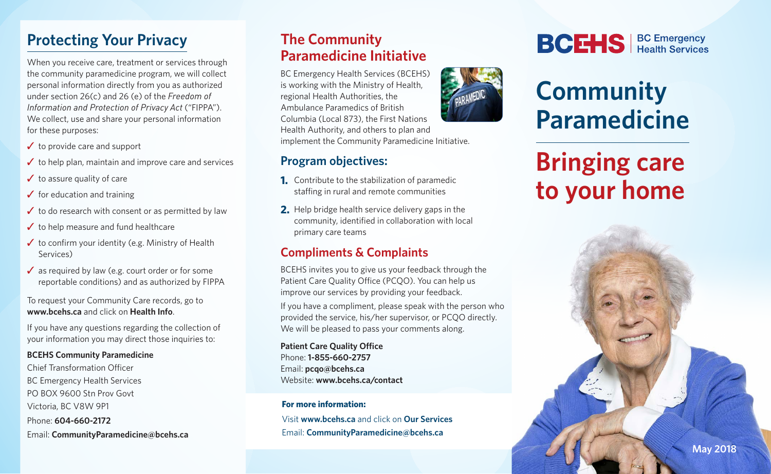### **Protecting Your Privacy**

When you receive care, treatment or services through the community paramedicine program, we will collect personal information directly from you as authorized under section 26(c) and 26 (e) of the *Freedom of Information and Protection of Privacy Act* ("FIPPA"). We collect, use and share your personal information for these purposes:

- $\checkmark$  to provide care and support
- $\checkmark$  to help plan, maintain and improve care and services
- $\checkmark$  to assure quality of care
- $\checkmark$  for education and training
- $\checkmark$  to do research with consent or as permitted by law
- $\checkmark$  to help measure and fund healthcare
- $\checkmark$  to confirm your identity (e.g. Ministry of Health Services)
- $\checkmark$  as required by law (e.g. court order or for some reportable conditions) and as authorized by FIPPA

To request your Community Care records, go to **www.bcehs.ca** and click on **Health Info**.

If you have any questions regarding the collection of your information you may direct those inquiries to:

**BCEHS Community Paramedicine** Chief Transformation Officer BC Emergency Health Services PO BOX 9600 Stn Prov Govt Victoria, BC V8W 9P1 Phone: **604-660-2172**

#### Email: **CommunityParamedicine@bcehs.ca**

### **The Community Paramedicine Initiative**

BC Emergency Health Services (BCEHS) is working with the Ministry of Health, regional Health Authorities, the Ambulance Paramedics of British Columbia (Local 873), the First Nations Health Authority, and others to plan and implement the Community Paramedicine Initiative.

### **Program objectives:**

- **1.** Contribute to the stabilization of paramedic staffing in rural and remote communities
- **2.** Help bridge health service delivery gaps in the community, identified in collaboration with local primary care teams

### **Compliments & Complaints**

BCEHS invites you to give us your feedback through the Patient Care Quality Office (PCQO). You can help us improve our services by providing your feedback.

If you have a compliment, please speak with the person who provided the service, his/her supervisor, or PCQO directly. We will be pleased to pass your comments along.

**Patient Care Quality Office** Phone: **1-855-660-2757** Email: **pcqo@bcehs.ca** Website: **www.bcehs.ca/contact**

#### **For more information:**

Visit **www.bcehs.ca** and click on **Our Services** Email: **CommunityParamedicine@bcehs.ca**



# **Community Paramedicine**

# **Bringing care to your home**